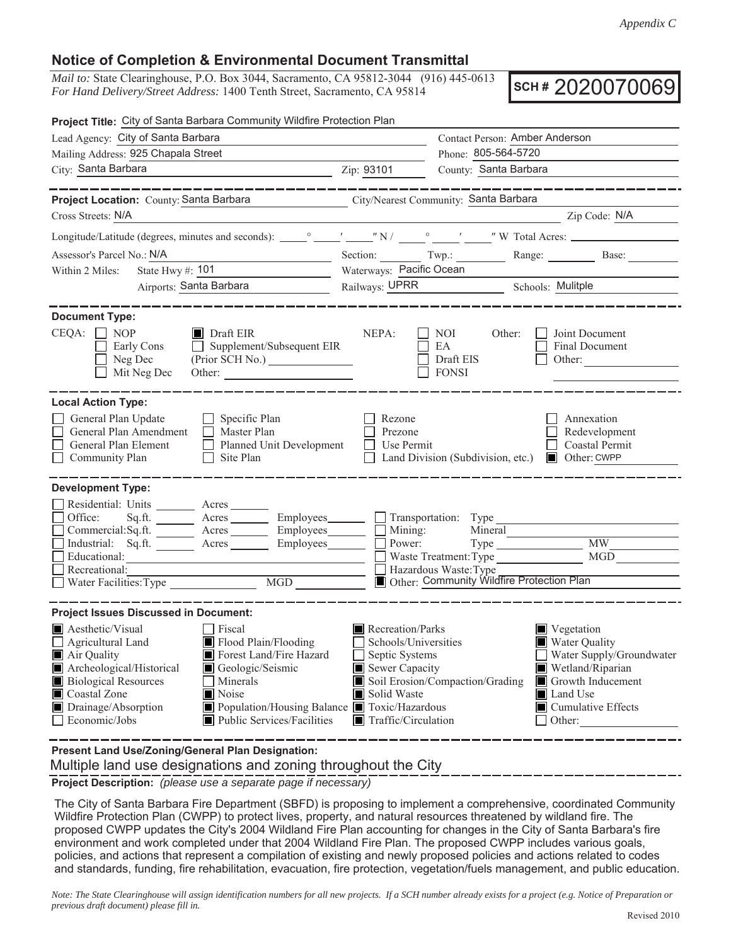## **Notice of Completion & Environmental Document Transmittal**

*Mail to:* State Clearinghouse, P.O. Box 3044, Sacramento, CA 95812-3044 (916) 445-0613 *For Hand Delivery/Street Address:* 1400 Tenth Street, Sacramento, CA 95814

**SCH #** 2020070069

| Project Title: City of Santa Barbara Community Wildfire Protection Plan                                                                                                                                                                                                                                                                                                     |                                                                                                                                    |                                                                                                        |                                                                                                                                                                           |  |  |  |
|-----------------------------------------------------------------------------------------------------------------------------------------------------------------------------------------------------------------------------------------------------------------------------------------------------------------------------------------------------------------------------|------------------------------------------------------------------------------------------------------------------------------------|--------------------------------------------------------------------------------------------------------|---------------------------------------------------------------------------------------------------------------------------------------------------------------------------|--|--|--|
| Lead Agency: City of Santa Barbara                                                                                                                                                                                                                                                                                                                                          | Contact Person: Amber Anderson                                                                                                     |                                                                                                        |                                                                                                                                                                           |  |  |  |
| Mailing Address: 925 Chapala Street                                                                                                                                                                                                                                                                                                                                         |                                                                                                                                    | Phone: 805-564-5720                                                                                    |                                                                                                                                                                           |  |  |  |
| City: Santa Barbara<br><u>2ip: 93101</u>                                                                                                                                                                                                                                                                                                                                    |                                                                                                                                    | County: Santa Barbara                                                                                  |                                                                                                                                                                           |  |  |  |
|                                                                                                                                                                                                                                                                                                                                                                             |                                                                                                                                    |                                                                                                        |                                                                                                                                                                           |  |  |  |
| Project Location: County: Santa Barbara City/Nearest Community: Santa Barbara                                                                                                                                                                                                                                                                                               |                                                                                                                                    |                                                                                                        |                                                                                                                                                                           |  |  |  |
| Cross Streets: N/A                                                                                                                                                                                                                                                                                                                                                          |                                                                                                                                    |                                                                                                        | Zip Code: N/A                                                                                                                                                             |  |  |  |
|                                                                                                                                                                                                                                                                                                                                                                             |                                                                                                                                    |                                                                                                        |                                                                                                                                                                           |  |  |  |
| Assessor's Parcel No.: N/A                                                                                                                                                                                                                                                                                                                                                  |                                                                                                                                    |                                                                                                        | Section: Twp.: Range: Base:                                                                                                                                               |  |  |  |
| State Hwy $\#$ : $101$<br>Within 2 Miles:                                                                                                                                                                                                                                                                                                                                   | Waterways: Pacific Ocean                                                                                                           |                                                                                                        |                                                                                                                                                                           |  |  |  |
| Airports: Santa Barbara                                                                                                                                                                                                                                                                                                                                                     | Railways: UPRR Schools: Mulitple                                                                                                   |                                                                                                        |                                                                                                                                                                           |  |  |  |
|                                                                                                                                                                                                                                                                                                                                                                             |                                                                                                                                    |                                                                                                        |                                                                                                                                                                           |  |  |  |
| <b>Document Type:</b><br>$CEQA: \Box NP$<br>$\blacksquare$ Draft EIR<br>Early Cons<br>$\Box$ Supplement/Subsequent EIR<br>Neg Dec<br>$\Box$<br>$\Box$ Mit Neg Dec<br>Other:                                                                                                                                                                                                 | NEPA:<br>$\Box$                                                                                                                    | NOI<br>Other:<br>EA<br>Draft EIS<br><b>FONSI</b>                                                       | Joint Document<br>Final Document<br>Other:                                                                                                                                |  |  |  |
| <b>Local Action Type:</b>                                                                                                                                                                                                                                                                                                                                                   |                                                                                                                                    |                                                                                                        |                                                                                                                                                                           |  |  |  |
| General Plan Update<br>$\Box$ Specific Plan<br>Master Plan<br>General Plan Amendment<br>Planned Unit Development<br>General Plan Element<br>$\Box$ Community Plan<br>$\Box$ Site Plan                                                                                                                                                                                       | Rezone<br>$\Box$ Prezone<br>ΓΙ<br>Use Permit                                                                                       | □ Land Division (Subdivision, etc.) ■ Other: CWPP                                                      | Annexation<br>Redevelopment<br>Coastal Permit                                                                                                                             |  |  |  |
| <b>Development Type:</b>                                                                                                                                                                                                                                                                                                                                                    |                                                                                                                                    |                                                                                                        |                                                                                                                                                                           |  |  |  |
| Residential: Units ________ Acres _______<br>Office:<br>Sq.ft. ________ Acres _________ Employees________ __ Transportation: Type _<br>Commercial:Sq.ft. Acres Employees Mining:<br>Industrial: Sq.ft. Acres Employees Dower:<br>Educational:<br>Recreational:<br><u> 1980 - Johann Barnett, fransk konge</u>                                                               |                                                                                                                                    | Mineral<br>Waste Treatment: Type<br>Hazardous Waste: Type<br>Other: Community Wildfire Protection Plan | <b>MW</b><br>MGD                                                                                                                                                          |  |  |  |
| <b>Project Issues Discussed in Document:</b>                                                                                                                                                                                                                                                                                                                                |                                                                                                                                    |                                                                                                        |                                                                                                                                                                           |  |  |  |
| Aesthetic/Visual<br>  Fiscal<br>Flood Plain/Flooding<br>$\Box$ Agricultural Land<br>Forest Land/Fire Hazard<br>Air Quality<br>Archeological/Historical<br>Geologic/Seismic<br><b>Biological Resources</b><br><b>Minerals</b><br>Coastal Zone<br>Noise<br>Drainage/Absorption<br>Population/Housing Balance Toxic/Hazardous<br>□ Economic/Jobs<br>Public Services/Facilities | Recreation/Parks<br>Schools/Universities<br>$\mathsf{L}$<br>Septic Systems<br>Sewer Capacity<br>Solid Waste<br>Traffic/Circulation | Soil Erosion/Compaction/Grading                                                                        | Vegetation<br>Water Quality<br>Water Supply/Groundwater<br>Wetland/Riparian<br><b>Growth Inducement</b><br>Land Use<br>$\blacksquare$ Cumulative Effects<br>$\Box$ Other: |  |  |  |

 Multiple land use designations and zoning throughout the City **Present Land Use/Zoning/General Plan Designation:**

**Project Description:** *(please use a separate page if necessary)*

 The City of Santa Barbara Fire Department (SBFD) is proposing to implement a comprehensive, coordinated Community Wildfire Protection Plan (CWPP) to protect lives, property, and natural resources threatened by wildland fire. The proposed CWPP updates the City's 2004 Wildland Fire Plan accounting for changes in the City of Santa Barbara's fire environment and work completed under that 2004 Wildland Fire Plan. The proposed CWPP includes various goals, policies, and actions that represent a compilation of existing and newly proposed policies and actions related to codes and standards, funding, fire rehabilitation, evacuation, fire protection, vegetation/fuels management, and public education.

*Note: The State Clearinghouse will assign identification numbers for all new projects. If a SCH number already exists for a project (e.g. Notice of Preparation or previous draft document) please fill in.*